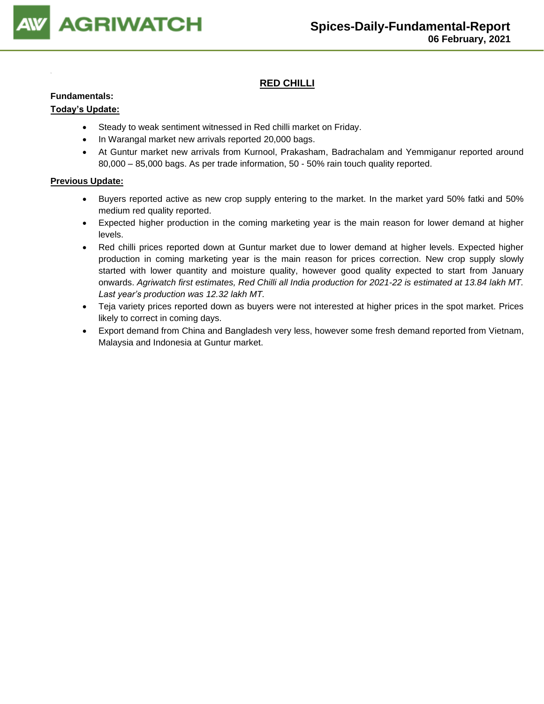

## **RED CHILLI**

#### **Fundamentals:**

### **Today's Update:**

- Steady to weak sentiment witnessed in Red chilli market on Friday.
- In Warangal market new arrivals reported 20,000 bags.
- At Guntur market new arrivals from Kurnool, Prakasham, Badrachalam and Yemmiganur reported around 80,000 – 85,000 bags. As per trade information, 50 - 50% rain touch quality reported.

- Buyers reported active as new crop supply entering to the market. In the market yard 50% fatki and 50% medium red quality reported.
- Expected higher production in the coming marketing year is the main reason for lower demand at higher levels.
- Red chilli prices reported down at Guntur market due to lower demand at higher levels. Expected higher production in coming marketing year is the main reason for prices correction. New crop supply slowly started with lower quantity and moisture quality, however good quality expected to start from January onwards. *Agriwatch first estimates, Red Chilli all India production for 2021-22 is estimated at 13.84 lakh MT. Last year's production was 12.32 lakh MT.*
- Teja variety prices reported down as buyers were not interested at higher prices in the spot market. Prices likely to correct in coming days.
- Export demand from China and Bangladesh very less, however some fresh demand reported from Vietnam, Malaysia and Indonesia at Guntur market.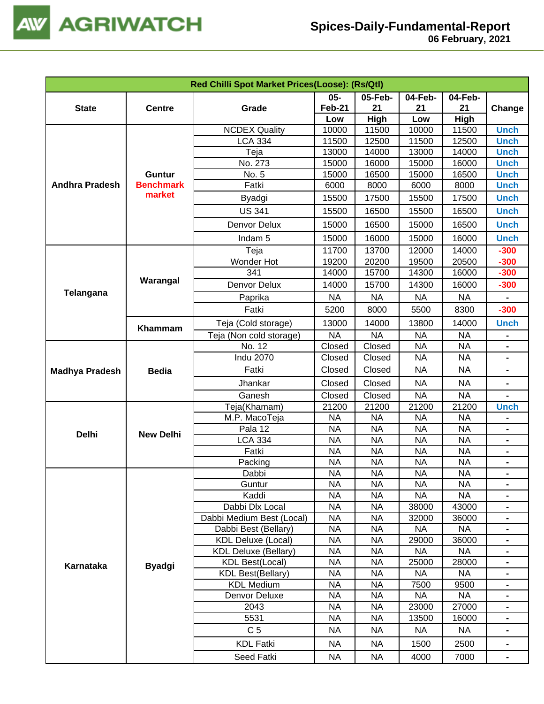

|                       |                  | Red Chilli Spot Market Prices(Loose): (Rs/Qtl) |               |           |           |           |                              |
|-----------------------|------------------|------------------------------------------------|---------------|-----------|-----------|-----------|------------------------------|
|                       |                  |                                                | 05-           | 05-Feb-   | 04-Feb-   | 04-Feb-   |                              |
| <b>State</b>          | <b>Centre</b>    | Grade                                          | <b>Feb-21</b> | 21        | 21        | 21        | Change                       |
|                       |                  |                                                | Low           | High      | Low       | High      |                              |
|                       |                  | <b>NCDEX Quality</b>                           | 10000         | 11500     | 10000     | 11500     | <b>Unch</b>                  |
|                       |                  | <b>LCA 334</b>                                 | 11500         | 12500     | 11500     | 12500     | <b>Unch</b>                  |
|                       |                  | Teja                                           | 13000         | 14000     | 13000     | 14000     | <b>Unch</b>                  |
|                       |                  | No. 273                                        | 15000         | 16000     | 15000     | 16000     | <b>Unch</b>                  |
|                       | <b>Guntur</b>    | No. 5                                          | 15000         | 16500     | 15000     | 16500     | <b>Unch</b>                  |
| <b>Andhra Pradesh</b> | <b>Benchmark</b> | Fatki                                          | 6000          | 8000      | 6000      | 8000      | <b>Unch</b>                  |
|                       | market           | Byadgi                                         | 15500         | 17500     | 15500     | 17500     | <b>Unch</b>                  |
|                       |                  | <b>US 341</b>                                  | 15500         | 16500     | 15500     | 16500     | <b>Unch</b>                  |
|                       |                  | Denvor Delux                                   | 15000         | 16500     | 15000     | 16500     | <b>Unch</b>                  |
|                       |                  | Indam <sub>5</sub>                             | 15000         | 16000     | 15000     | 16000     | <b>Unch</b>                  |
|                       |                  | Teja                                           | 11700         | 13700     | 12000     | 14000     | $-300$                       |
|                       |                  | Wonder Hot                                     | 19200         | 20200     | 19500     | 20500     | $-300$                       |
|                       |                  | 341                                            | 14000         | 15700     | 14300     | 16000     | $-300$                       |
|                       | Warangal         | Denvor Delux                                   | 14000         | 15700     | 14300     | 16000     | $-300$                       |
| Telangana             |                  | Paprika                                        | <b>NA</b>     | <b>NA</b> | <b>NA</b> | <b>NA</b> | $\blacksquare$               |
|                       |                  | Fatki                                          | 5200          | 8000      | 5500      | 8300      | $-300$                       |
|                       |                  | Teja (Cold storage)                            | 13000         | 14000     | 13800     | 14000     | <b>Unch</b>                  |
|                       | Khammam          | Teja (Non cold storage)                        | <b>NA</b>     | <b>NA</b> | <b>NA</b> | <b>NA</b> |                              |
|                       |                  | No. 12                                         | Closed        | Closed    | <b>NA</b> | <b>NA</b> |                              |
|                       |                  | <b>Indu 2070</b>                               | Closed        | Closed    | <b>NA</b> | <b>NA</b> |                              |
|                       | <b>Bedia</b>     | Fatki                                          | Closed        | Closed    | <b>NA</b> | <b>NA</b> |                              |
| <b>Madhya Pradesh</b> |                  | Jhankar                                        | Closed        | Closed    | <b>NA</b> | <b>NA</b> |                              |
|                       |                  | Ganesh                                         | Closed        | Closed    | <b>NA</b> | <b>NA</b> |                              |
|                       |                  | Teja(Khamam)                                   | 21200         | 21200     | 21200     | 21200     | <b>Unch</b>                  |
|                       |                  | M.P. MacoTeja                                  | <b>NA</b>     | <b>NA</b> | <b>NA</b> | <b>NA</b> |                              |
|                       |                  | Pala 12                                        | <b>NA</b>     | <b>NA</b> | <b>NA</b> | <b>NA</b> | $\qquad \qquad \blacksquare$ |
| <b>Delhi</b>          | <b>New Delhi</b> | <b>LCA 334</b>                                 | <b>NA</b>     | <b>NA</b> | <b>NA</b> | <b>NA</b> | $\blacksquare$               |
|                       |                  | Fatki                                          | <b>NA</b>     | <b>NA</b> | <b>NA</b> | <b>NA</b> | $\blacksquare$               |
|                       |                  | Packing                                        | <b>NA</b>     | <b>NA</b> | <b>NA</b> | <b>NA</b> | $\blacksquare$               |
|                       |                  | Dabbi                                          | <b>NA</b>     | <b>NA</b> | <b>NA</b> | $\sf NA$  |                              |
|                       |                  | Guntur                                         | <b>NA</b>     | <b>NA</b> | <b>NA</b> | <b>NA</b> |                              |
|                       |                  | Kaddi                                          | <b>NA</b>     | <b>NA</b> | NA        | <b>NA</b> |                              |
|                       |                  | Dabbi Dlx Local                                | <b>NA</b>     | <b>NA</b> | 38000     | 43000     |                              |
|                       |                  | Dabbi Medium Best (Local)                      | <b>NA</b>     | <b>NA</b> | 32000     | 36000     |                              |
|                       |                  | Dabbi Best (Bellary)                           | <b>NA</b>     | <b>NA</b> | <b>NA</b> | <b>NA</b> |                              |
|                       |                  | <b>KDL Deluxe (Local)</b>                      | <b>NA</b>     | <b>NA</b> | 29000     | 36000     |                              |
|                       |                  | <b>KDL Deluxe (Bellary)</b>                    | <b>NA</b>     | <b>NA</b> | <b>NA</b> | <b>NA</b> | $\blacksquare$               |
| <b>Karnataka</b>      | <b>Byadgi</b>    | <b>KDL Best(Local)</b>                         | <b>NA</b>     | <b>NA</b> | 25000     | 28000     |                              |
|                       |                  | <b>KDL Best(Bellary)</b>                       | <b>NA</b>     | <b>NA</b> | <b>NA</b> | <b>NA</b> |                              |
|                       |                  | <b>KDL Medium</b>                              | <b>NA</b>     | <b>NA</b> | 7500      | 9500      |                              |
|                       |                  | Denvor Deluxe                                  | <b>NA</b>     | <b>NA</b> | <b>NA</b> | <b>NA</b> |                              |
|                       |                  | 2043                                           | <b>NA</b>     | <b>NA</b> | 23000     | 27000     |                              |
|                       |                  | 5531                                           | <b>NA</b>     | <b>NA</b> | 13500     | 16000     |                              |
|                       |                  | C <sub>5</sub>                                 | <b>NA</b>     | <b>NA</b> | <b>NA</b> | <b>NA</b> |                              |
|                       |                  | <b>KDL Fatki</b>                               | <b>NA</b>     | <b>NA</b> | 1500      | 2500      |                              |
|                       |                  | Seed Fatki                                     | <b>NA</b>     | <b>NA</b> | 4000      | 7000      |                              |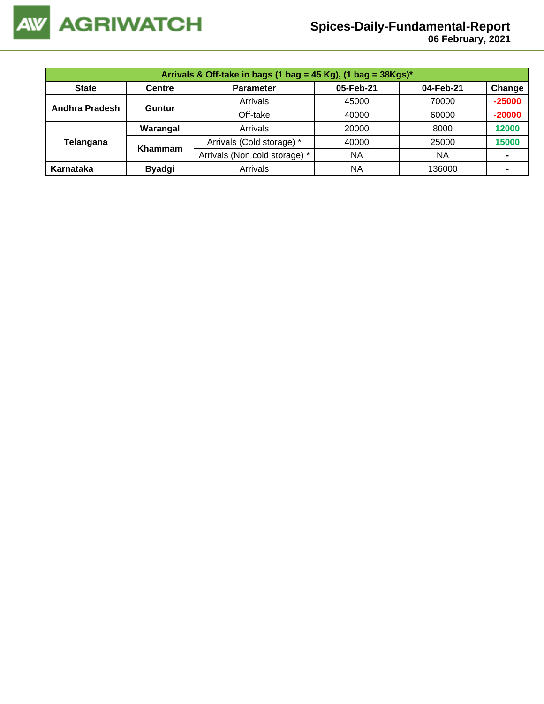

## **Spices-Daily-Fundamental-Report**

 **06 February, 2021**

|                | Arrivals & Off-take in bags (1 bag = 45 Kg), (1 bag = $38Kgs$ )* |                               |           |           |          |  |  |  |  |
|----------------|------------------------------------------------------------------|-------------------------------|-----------|-----------|----------|--|--|--|--|
| <b>State</b>   | <b>Centre</b>                                                    | <b>Parameter</b>              | 05-Feb-21 | 04-Feb-21 | Change   |  |  |  |  |
| Andhra Pradesh | Guntur                                                           | Arrivals                      | 45000     | 70000     | $-25000$ |  |  |  |  |
|                |                                                                  | Off-take                      | 40000     | 60000     | $-20000$ |  |  |  |  |
|                | Warangal                                                         | Arrivals                      | 20000     | 8000      | 12000    |  |  |  |  |
| Telangana      | Khammam                                                          | Arrivals (Cold storage) *     | 40000     | 25000     | 15000    |  |  |  |  |
|                |                                                                  | Arrivals (Non cold storage) * | ΝA        | NA        | -        |  |  |  |  |
| Karnataka      | <b>Byadgi</b>                                                    | Arrivals                      | ΝA        | 136000    |          |  |  |  |  |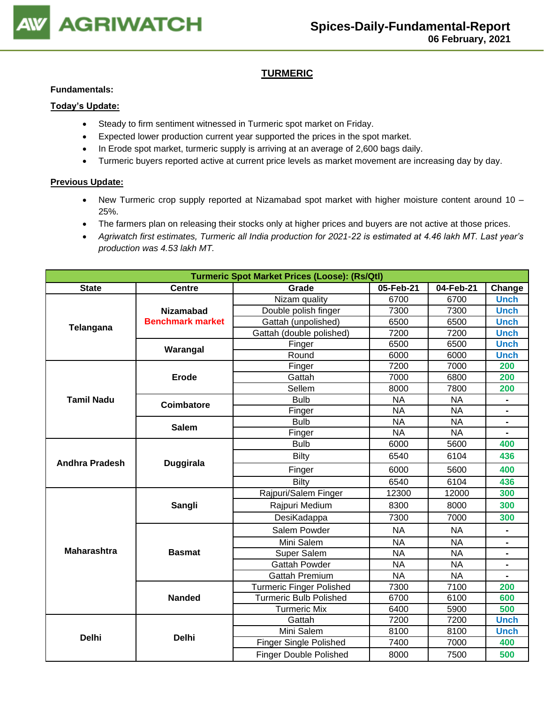

## **TURMERIC**

#### **Fundamentals:**

#### **Today's Update:**

- Steady to firm sentiment witnessed in Turmeric spot market on Friday.
- Expected lower production current year supported the prices in the spot market.
- In Erode spot market, turmeric supply is arriving at an average of 2,600 bags daily.
- Turmeric buyers reported active at current price levels as market movement are increasing day by day.

- New Turmeric crop supply reported at Nizamabad spot market with higher moisture content around 10 25%.
- The farmers plan on releasing their stocks only at higher prices and buyers are not active at those prices.
- *Agriwatch first estimates, Turmeric all India production for 2021-22 is estimated at 4.46 lakh MT. Last year's production was 4.53 lakh MT.*

| <b>Turmeric Spot Market Prices (Loose): (Rs/Qtl)</b> |                         |                                 |           |           |                |  |
|------------------------------------------------------|-------------------------|---------------------------------|-----------|-----------|----------------|--|
| <b>State</b>                                         | <b>Centre</b>           | Grade                           | 05-Feb-21 | 04-Feb-21 | Change         |  |
|                                                      |                         | Nizam quality                   | 6700      | 6700      | <b>Unch</b>    |  |
|                                                      | <b>Nizamabad</b>        | Double polish finger            | 7300      | 7300      | <b>Unch</b>    |  |
| Telangana                                            | <b>Benchmark market</b> | Gattah (unpolished)             | 6500      | 6500      | <b>Unch</b>    |  |
|                                                      |                         | Gattah (double polished)        | 7200      | 7200      | <b>Unch</b>    |  |
|                                                      | Warangal                | Finger                          | 6500      | 6500      | <b>Unch</b>    |  |
|                                                      |                         | Round                           | 6000      | 6000      | <b>Unch</b>    |  |
|                                                      |                         | Finger                          | 7200      | 7000      | 200            |  |
|                                                      | Erode                   | Gattah                          | 7000      | 6800      | 200            |  |
|                                                      |                         | Sellem                          | 8000      | 7800      | 200            |  |
| <b>Tamil Nadu</b>                                    | Coimbatore              | <b>Bulb</b>                     | <b>NA</b> | <b>NA</b> | $\blacksquare$ |  |
|                                                      |                         | Finger                          | <b>NA</b> | <b>NA</b> |                |  |
|                                                      | <b>Salem</b>            | <b>Bulb</b>                     | <b>NA</b> | <b>NA</b> |                |  |
|                                                      |                         | Finger                          | <b>NA</b> | <b>NA</b> |                |  |
| <b>Andhra Pradesh</b>                                |                         | <b>Bulb</b>                     | 6000      | 5600      | 400            |  |
|                                                      | <b>Duggirala</b>        | <b>Bilty</b>                    | 6540      | 6104      | 436            |  |
|                                                      |                         | Finger                          | 6000      | 5600      | 400            |  |
|                                                      |                         | <b>Bilty</b>                    | 6540      | 6104      | 436            |  |
|                                                      |                         | Rajpuri/Salem Finger            | 12300     | 12000     | 300            |  |
|                                                      | Sangli                  | Rajpuri Medium                  | 8300      | 8000      | 300            |  |
|                                                      |                         | DesiKadappa                     | 7300      | 7000      | 300            |  |
|                                                      |                         | Salem Powder                    | <b>NA</b> | <b>NA</b> |                |  |
|                                                      |                         | Mini Salem                      | <b>NA</b> | <b>NA</b> |                |  |
| <b>Maharashtra</b>                                   | <b>Basmat</b>           | <b>Super Salem</b>              | <b>NA</b> | <b>NA</b> |                |  |
|                                                      |                         | <b>Gattah Powder</b>            | <b>NA</b> | <b>NA</b> |                |  |
|                                                      |                         | <b>Gattah Premium</b>           | <b>NA</b> | <b>NA</b> |                |  |
|                                                      |                         | <b>Turmeric Finger Polished</b> | 7300      | 7100      | 200            |  |
|                                                      | <b>Nanded</b>           | <b>Turmeric Bulb Polished</b>   | 6700      | 6100      | 600            |  |
|                                                      |                         | <b>Turmeric Mix</b>             | 6400      | 5900      | 500            |  |
|                                                      |                         | Gattah                          | 7200      | 7200      | <b>Unch</b>    |  |
| <b>Delhi</b>                                         |                         | Mini Salem                      | 8100      | 8100      | <b>Unch</b>    |  |
|                                                      | <b>Delhi</b>            | <b>Finger Single Polished</b>   | 7400      | 7000      | 400            |  |
|                                                      |                         | <b>Finger Double Polished</b>   | 8000      | 7500      | 500            |  |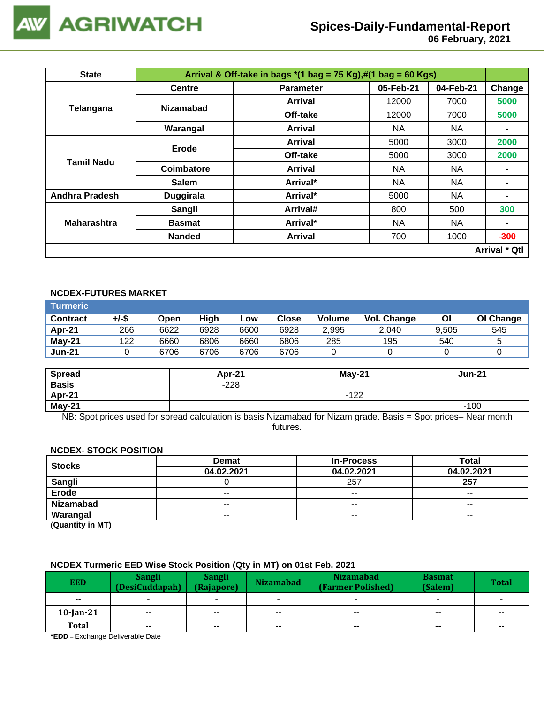

# **Spices-Daily-Fundamental-Report**

 **06 February, 2021**

| <b>State</b>          |                  | Arrival & Off-take in bags $*(1 \text{ bag} = 75 \text{ Kg}), \#(1 \text{ bag} = 60 \text{ Kg})$ |           |           |                      |
|-----------------------|------------------|--------------------------------------------------------------------------------------------------|-----------|-----------|----------------------|
|                       | <b>Centre</b>    | <b>Parameter</b>                                                                                 | 05-Feb-21 | 04-Feb-21 | Change               |
|                       | <b>Nizamabad</b> | <b>Arrival</b>                                                                                   | 12000     | 7000      | 5000                 |
| <b>Telangana</b>      |                  | Off-take                                                                                         | 12000     | 7000      | 5000                 |
|                       | Warangal         | <b>Arrival</b>                                                                                   | <b>NA</b> | NA        |                      |
|                       | Erode            | <b>Arrival</b>                                                                                   | 5000      | 3000      | 2000                 |
|                       |                  | Off-take                                                                                         | 5000      | 3000      | 2000                 |
| Tamil Nadu            | Coimbatore       | Arrival                                                                                          | NA.       | NA.       |                      |
|                       | <b>Salem</b>     | Arrival*                                                                                         | NA.       | NA        |                      |
| <b>Andhra Pradesh</b> | <b>Duggirala</b> | Arrival*                                                                                         | 5000      | <b>NA</b> | $\blacksquare$       |
|                       | Sangli           | Arrival#                                                                                         | 800       | 500       | 300                  |
| <b>Maharashtra</b>    | <b>Basmat</b>    | Arrival*                                                                                         | NA.       | NA        | $\blacksquare$       |
|                       | <b>Nanded</b>    | Arrival                                                                                          | 700       | 1000      | $-300$               |
|                       |                  |                                                                                                  |           |           | <b>Arrival * Qtl</b> |

## **NCDEX-FUTURES MARKET**

| Turmeric                 |     |      |      |      |       |               |             |       |           |
|--------------------------|-----|------|------|------|-------|---------------|-------------|-------|-----------|
| +/-\$<br><b>Contract</b> |     | Open | High | Low  | Close | <b>Volume</b> | Vol. Change | Οl    | OI Change |
| Apr-21                   | 266 | 6622 | 6928 | 6600 | 6928  | 2,995         | 2.040       | 9.505 | 545       |
| May-21                   | 122 | 6660 | 6806 | 6660 | 6806  | 285           | 195         | 540   | ∽         |
| <b>Jun-21</b>            |     | 6706 | 6706 | 6706 | 6706  |               |             |       |           |

| <b>Spread</b> | Apr-21 | <b>May-21</b> | <b>Jun-21</b> |
|---------------|--------|---------------|---------------|
| <b>Basis</b>  | $-228$ |               |               |
| Apr-21        |        | $-122$<br>. . |               |
| $May-21$      |        |               | $-100$        |

NB: Spot prices used for spread calculation is basis Nizamabad for Nizam grade. Basis = Spot prices– Near month futures.

#### **NCDEX- STOCK POSITION**

| <b>Stocks</b>    | <b>Demat</b>  | <b>In-Process</b> | Total         |
|------------------|---------------|-------------------|---------------|
|                  | 04.02.2021    | 04.02.2021        | 04.02.2021    |
| Sangli           |               | 257               | 257           |
| Erode            | $\sim$ $\sim$ | $- -$             | $\sim$ $\sim$ |
| <b>Nizamabad</b> | $- -$         | $- -$             | $\sim$ $\sim$ |
| Warangal         | $- -$         | $- -$             | $- -$         |
|                  |               |                   |               |

(**Quantity in MT)**

### **NCDEX Turmeric EED Wise Stock Position (Qty in MT) on 01st Feb, 2021**

| <b>EED</b>    | <b>Sangli</b><br>(DesiCuddapah) | Sangli<br>(Rajapore) | <b>Nizamabad</b> | <b>Nizamabad</b><br>(Farmer Polished) | <b>Basmat</b><br>(Salem) | <b>Total</b>             |
|---------------|---------------------------------|----------------------|------------------|---------------------------------------|--------------------------|--------------------------|
| $\sim$ $\sim$ |                                 | ۰                    |                  |                                       | $\overline{\phantom{a}}$ |                          |
| $10$ -Jan-21  | $\sim$                          | $\sim$ $\sim$        | $\sim$ $\sim$    | $\sim$ $\sim$                         | $\overline{\phantom{a}}$ | $\sim$ $\sim$            |
| <b>Total</b>  | $\sim$                          | $\blacksquare$       | $\sim$           | $\sim$                                | $\sim$                   | $\overline{\phantom{a}}$ |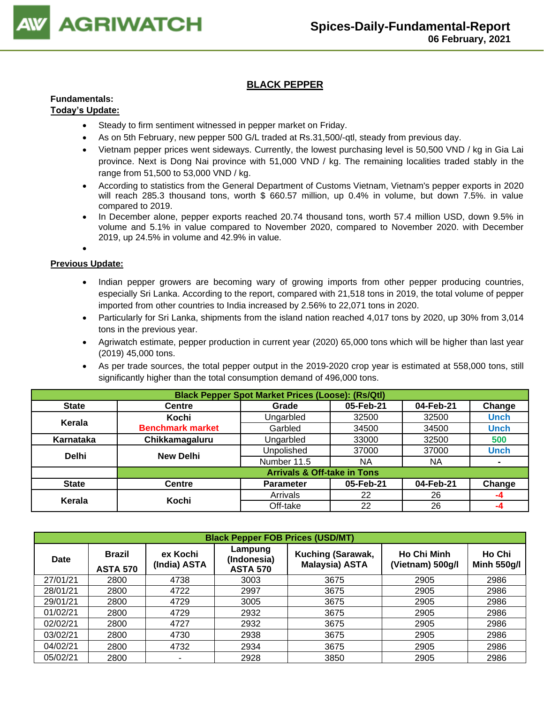

## **BLACK PEPPER**

## **Fundamentals:**

### **Today's Update:**

- Steady to firm sentiment witnessed in pepper market on Friday.
- As on 5th February, new pepper 500 G/L traded at Rs.31,500/-qtl, steady from previous day.
- Vietnam pepper prices went sideways. Currently, the lowest purchasing level is 50,500 VND / kg in Gia Lai province. Next is Dong Nai province with 51,000 VND / kg. The remaining localities traded stably in the range from 51,500 to 53,000 VND / kg.
- According to statistics from the General Department of Customs Vietnam, Vietnam's pepper exports in 2020 will reach 285.3 thousand tons, worth \$ 660.57 million, up 0.4% in volume, but down 7.5%. in value compared to 2019.
- In December alone, pepper exports reached 20.74 thousand tons, worth 57.4 million USD, down 9.5% in volume and 5.1% in value compared to November 2020, compared to November 2020. with December 2019, up 24.5% in volume and 42.9% in value.

## •

- Indian pepper growers are becoming wary of growing imports from other pepper producing countries, especially Sri Lanka. According to the report, compared with 21,518 tons in 2019, the total volume of pepper imported from other countries to India increased by 2.56% to 22,071 tons in 2020.
- Particularly for Sri Lanka, shipments from the island nation reached 4,017 tons by 2020, up 30% from 3,014 tons in the previous year.
- Agriwatch estimate, pepper production in current year (2020) 65,000 tons which will be higher than last year (2019) 45,000 tons.
- As per trade sources, the total pepper output in the 2019-2020 crop year is estimated at 558,000 tons, still significantly higher than the total consumption demand of 496,000 tons.

|              | <b>Black Pepper Spot Market Prices (Loose): (Rs/Qtl)</b> |                                        |           |           |                |  |  |  |
|--------------|----------------------------------------------------------|----------------------------------------|-----------|-----------|----------------|--|--|--|
| <b>State</b> | <b>Centre</b>                                            | Grade                                  | 05-Feb-21 | 04-Feb-21 | Change         |  |  |  |
| Kerala       | Kochi                                                    | Ungarbled                              | 32500     | 32500     | <b>Unch</b>    |  |  |  |
|              | <b>Benchmark market</b>                                  | Garbled                                | 34500     | 34500     | <b>Unch</b>    |  |  |  |
| Karnataka    | Chikkamagaluru                                           | Ungarbled                              | 33000     | 32500     | 500            |  |  |  |
| <b>Delhi</b> | <b>New Delhi</b>                                         | Unpolished                             | 37000     | 37000     | <b>Unch</b>    |  |  |  |
|              |                                                          | Number 11.5                            | NA.       | <b>NA</b> | $\blacksquare$ |  |  |  |
|              |                                                          | <b>Arrivals &amp; Off-take in Tons</b> |           |           |                |  |  |  |
| <b>State</b> | Centre                                                   | <b>Parameter</b>                       | 05-Feb-21 | 04-Feb-21 | Change         |  |  |  |
|              | Kochi                                                    | Arrivals                               | 22        | 26        | -4             |  |  |  |
| Kerala       |                                                          | Off-take                               | 22        | 26        | -4             |  |  |  |

|             | <b>Black Pepper FOB Prices (USD/MT)</b> |                          |                                           |                                            |                                        |                              |  |  |  |  |
|-------------|-----------------------------------------|--------------------------|-------------------------------------------|--------------------------------------------|----------------------------------------|------------------------------|--|--|--|--|
| <b>Date</b> | <b>Brazil</b><br><b>ASTA 570</b>        | ex Kochi<br>(India) ASTA | Lampung<br>(Indonesia)<br><b>ASTA 570</b> | Kuching (Sarawak,<br><b>Malaysia) ASTA</b> | <b>Ho Chi Minh</b><br>(Vietnam) 500g/l | Ho Chi<br><b>Minh 550g/l</b> |  |  |  |  |
| 27/01/21    | 2800                                    | 4738                     | 3003                                      | 3675                                       | 2905                                   | 2986                         |  |  |  |  |
| 28/01/21    | 2800                                    | 4722                     | 2997                                      | 3675                                       | 2905                                   | 2986                         |  |  |  |  |
| 29/01/21    | 2800                                    | 4729                     | 3005                                      | 3675                                       | 2905                                   | 2986                         |  |  |  |  |
| 01/02/21    | 2800                                    | 4729                     | 2932                                      | 3675                                       | 2905                                   | 2986                         |  |  |  |  |
| 02/02/21    | 2800                                    | 4727                     | 2932                                      | 3675                                       | 2905                                   | 2986                         |  |  |  |  |
| 03/02/21    | 2800                                    | 4730                     | 2938                                      | 3675                                       | 2905                                   | 2986                         |  |  |  |  |
| 04/02/21    | 2800                                    | 4732                     | 2934                                      | 3675                                       | 2905                                   | 2986                         |  |  |  |  |
| 05/02/21    | 2800                                    |                          | 2928                                      | 3850                                       | 2905                                   | 2986                         |  |  |  |  |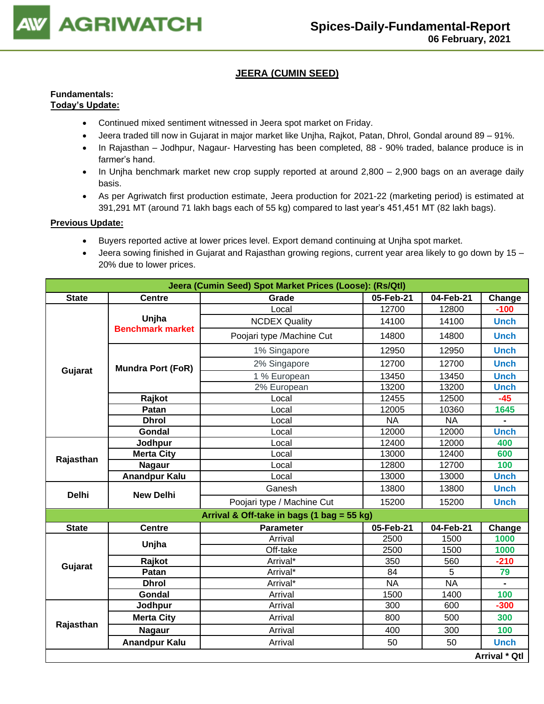

## **JEERA (CUMIN SEED)**

#### **Fundamentals: Today's Update:**

- Continued mixed sentiment witnessed in Jeera spot market on Friday.
- Jeera traded till now in Gujarat in major market like Unjha, Rajkot, Patan, Dhrol, Gondal around 89 91%.
- In Rajasthan Jodhpur, Nagaur- Harvesting has been completed, 88 90% traded, balance produce is in farmer's hand.
- In Uniha benchmark market new crop supply reported at around 2,800 2,900 bags on an average daily basis.
- As per Agriwatch first production estimate, Jeera production for 2021-22 (marketing period) is estimated at 391,291 MT (around 71 lakh bags each of 55 kg) compared to last year's 451,451 MT (82 lakh bags).

- Buyers reported active at lower prices level. Export demand continuing at Unjha spot market.
- Jeera sowing finished in Gujarat and Rajasthan growing regions, current year area likely to go down by 15 20% due to lower prices.

|              |                                  | Jeera (Cumin Seed) Spot Market Prices (Loose): (Rs/Qtl) |           |           |                      |
|--------------|----------------------------------|---------------------------------------------------------|-----------|-----------|----------------------|
| <b>State</b> | <b>Centre</b>                    | 04-Feb-21                                               | Change    |           |                      |
|              |                                  | Local                                                   | 12700     | 12800     | $-100$               |
|              | Unjha<br><b>Benchmark market</b> | <b>NCDEX Quality</b>                                    | 14100     | 14100     | <b>Unch</b>          |
|              |                                  | Poojari type /Machine Cut                               | 14800     | 14800     | <b>Unch</b>          |
|              |                                  | 1% Singapore                                            | 12950     | 12950     | <b>Unch</b>          |
|              | <b>Mundra Port (FoR)</b>         | 2% Singapore                                            | 12700     | 12700     | <b>Unch</b>          |
| Gujarat      |                                  | 1 % European                                            | 13450     | 13450     | <b>Unch</b>          |
|              |                                  | 2% European                                             | 13200     | 13200     | <b>Unch</b>          |
|              | Rajkot                           | Local                                                   | 12455     | 12500     | $-45$                |
|              | Patan                            | Local                                                   | 12005     | 10360     | 1645                 |
|              | <b>Dhrol</b>                     | Local                                                   | <b>NA</b> | <b>NA</b> |                      |
|              | Gondal                           | Local                                                   | 12000     | 12000     | <b>Unch</b>          |
| Rajasthan    | Jodhpur                          | Local                                                   | 12400     | 12000     | 400                  |
|              | <b>Merta City</b>                | Local                                                   | 13000     | 12400     | 600                  |
|              | <b>Nagaur</b>                    | Local                                                   | 12800     | 12700     | 100                  |
|              | <b>Anandpur Kalu</b>             | Local                                                   | 13000     | 13000     | <b>Unch</b>          |
| <b>Delhi</b> | <b>New Delhi</b>                 | Ganesh                                                  | 13800     | 13800     | <b>Unch</b>          |
|              |                                  | Poojari type / Machine Cut                              | 15200     | 15200     | <b>Unch</b>          |
|              |                                  | Arrival & Off-take in bags (1 bag = 55 kg)              |           |           |                      |
| <b>State</b> | <b>Centre</b>                    | <b>Parameter</b>                                        | 05-Feb-21 | 04-Feb-21 | Change               |
|              | Unjha                            | Arrival                                                 | 2500      | 1500      | 1000                 |
|              |                                  | Off-take                                                | 2500      | 1500      | 1000                 |
| Gujarat      | Rajkot                           | Arrival*                                                | 350       | 560       | $-210$               |
|              | Patan                            | Arrival*                                                | 84        | 5         | 79                   |
|              | <b>Dhrol</b>                     | Arrival*                                                | <b>NA</b> | <b>NA</b> |                      |
|              | Gondal                           | Arrival                                                 | 1500      | 1400      | 100                  |
|              | Jodhpur                          | Arrival                                                 | 300       | 600       | $-300$               |
| Rajasthan    | <b>Merta City</b>                | Arrival                                                 | 800       | 500       | 300                  |
|              | <b>Nagaur</b>                    | Arrival                                                 | 400       | 300       | 100                  |
|              | <b>Anandpur Kalu</b>             | Arrival                                                 | 50        | 50        | <b>Unch</b>          |
|              |                                  |                                                         |           |           | <b>Arrival * Qtl</b> |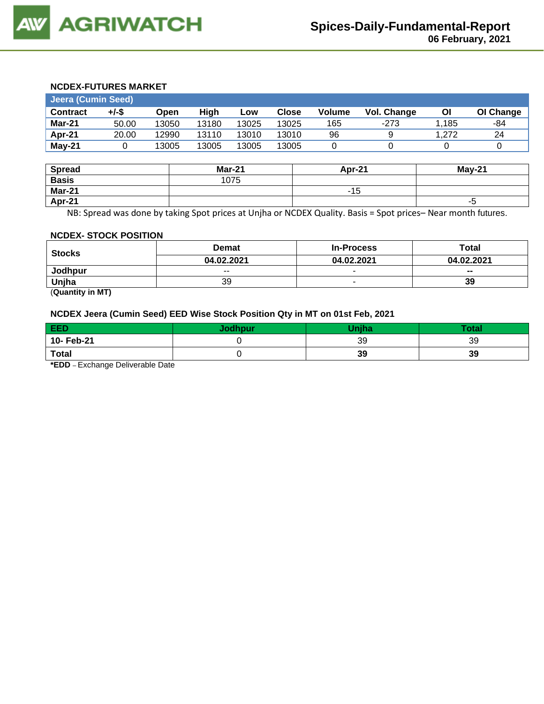#### **NCDEX-FUTURES MARKET**

| Jeera (Cumin Seed) |       |       |       |       |              |        |             |       |           |
|--------------------|-------|-------|-------|-------|--------------|--------|-------------|-------|-----------|
| <b>Contract</b>    | +/-\$ | Open  | Hiah  | LOW   | <b>Close</b> | Volume | Vol. Change | ΟI    | OI Change |
| Mar-21             | 50.00 | 13050 | 13180 | 13025 | 13025        | 165    | -273        | 1.185 | -84       |
| Apr-21             | 20.00 | 12990 | 13110 | 13010 | 13010        | 96     |             | 1.272 | 24        |
| $May-21$           |       | 13005 | 13005 | 13005 | 13005        |        |             |       |           |

| <b>Spread</b> | <b>Mar-21</b> | Apr-21 | $May-21$ |
|---------------|---------------|--------|----------|
| <b>Basis</b>  | 1075          |        |          |
| Mar-21        |               | -15    |          |
| Apr-21        |               |        | -၁       |

NB: Spread was done by taking Spot prices at Unjha or NCDEX Quality. Basis = Spot prices– Near month futures.

#### **NCDEX- STOCK POSITION**

| <b>Stocks</b>         | <b>Demat</b> | <b>In-Process</b> | Total                    |
|-----------------------|--------------|-------------------|--------------------------|
|                       | 04.02.2021   | 04.02.2021        | 04.02.2021               |
| Jodhpur               | $- -$        | $\sim$            | $\overline{\phantom{a}}$ |
| Uniha                 | 39           |                   | 39                       |
| $\sim$ $\sim$<br>____ |              |                   |                          |

(**Quantity in MT)**

## **NCDEX Jeera (Cumin Seed) EED Wise Stock Position Qty in MT on 01st Feb, 2021**

| <b>EED</b>   | Jodhpur | <b>Uniha</b> | <b>Total</b> |
|--------------|---------|--------------|--------------|
| 10- Feb-21   |         | 39           | 39           |
| <b>Total</b> |         | 39           | 39           |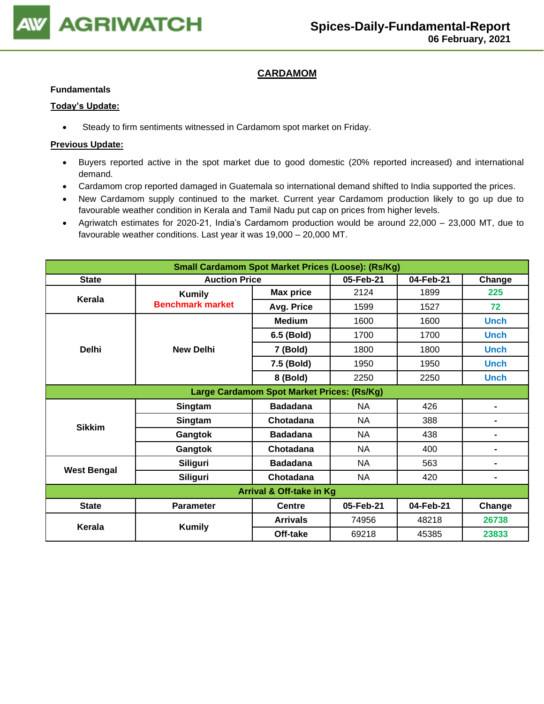

## **CARDAMOM**

#### **Fundamentals**

#### **Today's Update:**

• Steady to firm sentiments witnessed in Cardamom spot market on Friday.

- Buyers reported active in the spot market due to good domestic (20% reported increased) and international demand.
- Cardamom crop reported damaged in Guatemala so international demand shifted to India supported the prices.
- New Cardamom supply continued to the market. Current year Cardamom production likely to go up due to favourable weather condition in Kerala and Tamil Nadu put cap on prices from higher levels.
- Agriwatch estimates for 2020-21, India's Cardamom production would be around 22,000 23,000 MT, due to favourable weather conditions. Last year it was 19,000 – 20,000 MT.

| <b>Small Cardamom Spot Market Prices (Loose): (Rs/Kg)</b> |                                     |                  |           |           |                |  |  |  |
|-----------------------------------------------------------|-------------------------------------|------------------|-----------|-----------|----------------|--|--|--|
| <b>State</b>                                              | <b>Auction Price</b>                |                  | 05-Feb-21 | 04-Feb-21 | Change         |  |  |  |
| Kerala                                                    | <b>Kumily</b>                       | <b>Max price</b> | 2124      | 1899      | 225            |  |  |  |
|                                                           | <b>Benchmark market</b>             | Avg. Price       | 1599      | 1527      | 72             |  |  |  |
|                                                           |                                     | <b>Medium</b>    | 1600      | 1600      | <b>Unch</b>    |  |  |  |
|                                                           |                                     | 6.5 (Bold)       | 1700      | 1700      | <b>Unch</b>    |  |  |  |
| <b>Delhi</b>                                              | <b>New Delhi</b>                    | 7 (Bold)         | 1800      | 1800      | <b>Unch</b>    |  |  |  |
|                                                           |                                     | 7.5 (Bold)       | 1950      | 1950      | <b>Unch</b>    |  |  |  |
|                                                           |                                     | 8 (Bold)         | 2250      | 2250      | <b>Unch</b>    |  |  |  |
| Large Cardamom Spot Market Prices: (Rs/Kg)                |                                     |                  |           |           |                |  |  |  |
|                                                           | Singtam                             | <b>Badadana</b>  | <b>NA</b> | 426       | $\blacksquare$ |  |  |  |
| <b>Sikkim</b>                                             | Singtam                             | Chotadana        | <b>NA</b> | 388       | $\blacksquare$ |  |  |  |
|                                                           | Gangtok                             | <b>Badadana</b>  | <b>NA</b> | 438       | $\blacksquare$ |  |  |  |
|                                                           | Gangtok                             | Chotadana        | <b>NA</b> | 400       | $\blacksquare$ |  |  |  |
|                                                           | <b>Siliguri</b>                     | <b>Badadana</b>  | <b>NA</b> | 563       | $\blacksquare$ |  |  |  |
| <b>West Bengal</b>                                        | <b>Siliguri</b>                     | Chotadana        | <b>NA</b> | 420       | $\blacksquare$ |  |  |  |
|                                                           | <b>Arrival &amp; Off-take in Kg</b> |                  |           |           |                |  |  |  |
| <b>State</b>                                              | <b>Parameter</b>                    | <b>Centre</b>    | 05-Feb-21 | 04-Feb-21 | Change         |  |  |  |
| Kerala                                                    |                                     | <b>Arrivals</b>  | 74956     | 48218     | 26738          |  |  |  |
|                                                           | <b>Kumily</b>                       | Off-take         | 69218     | 45385     | 23833          |  |  |  |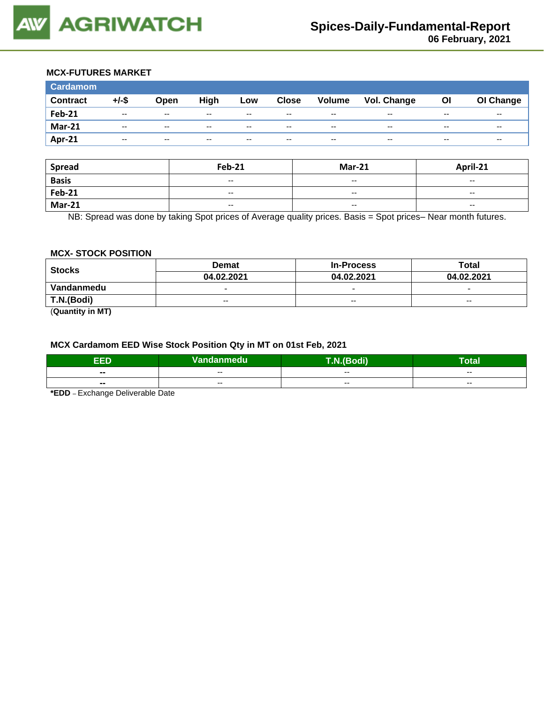#### **MCX-FUTURES MARKET**

| <b>Cardamom</b> |               |       |       |       |              |        |                    |       |           |
|-----------------|---------------|-------|-------|-------|--------------|--------|--------------------|-------|-----------|
| <b>Contract</b> | $+/-$ \$      | Open  | High  | Low   | <b>Close</b> | Volume | <b>Vol. Change</b> | ΟI    | OI Change |
| <b>Feb-21</b>   | $\sim$ $\sim$ | $-$   | $- -$ | $- -$ | $- -$        | $-$    | $- -$              | $- -$ | $- -$     |
| <b>Mar-21</b>   | $- -$         | $- -$ | $- -$ | $- -$ | $- -$        | $- -$  | $- -$              | $- -$ | $- -$     |
| Apr-21          | $- -$         | $- -$ | $- -$ | $- -$ | $- -$        | $- -$  | $- -$              | $- -$ | $- -$     |

| <b>Spread</b> | <b>Feb-21</b>            | <b>Mar-21</b>            | April-21                 |
|---------------|--------------------------|--------------------------|--------------------------|
| <b>Basis</b>  | $\overline{\phantom{a}}$ | $\overline{\phantom{a}}$ | $\overline{\phantom{a}}$ |
| <b>Feb-21</b> | $\overline{\phantom{a}}$ | $\sim$ $\sim$            | $\overline{\phantom{a}}$ |
| <b>Mar-21</b> | $\overline{\phantom{a}}$ | $\overline{\phantom{a}}$ | $- -$                    |

NB: Spread was done by taking Spot prices of Average quality prices. Basis = Spot prices– Near month futures.

#### **MCX- STOCK POSITION**

| <b>Stocks</b> | <b>Demat</b>             | <b>In-Process</b>        | Total                    |  |
|---------------|--------------------------|--------------------------|--------------------------|--|
|               | 04.02.2021               | 04.02.2021               | 04.02.2021               |  |
| Vandanmedu    | $\overline{\phantom{0}}$ | $\overline{\phantom{0}}$ | $\overline{\phantom{0}}$ |  |
| T.N.(Bodi)    | $- -$                    | $-$                      | $- -$                    |  |
|               |                          |                          |                          |  |

(**Quantity in MT)**

#### **MCX Cardamom EED Wise Stock Position Qty in MT on 01st Feb, 2021**

| EED                      | Vandanmedu <sup> </sup> | bdi)<br>$\sqrt{2}$ | -<br>Total |
|--------------------------|-------------------------|--------------------|------------|
| $\blacksquare$           | $- -$                   | $- -$              | $- -$      |
| $\overline{\phantom{a}}$ | $- -$                   | $- -$              | $- -$      |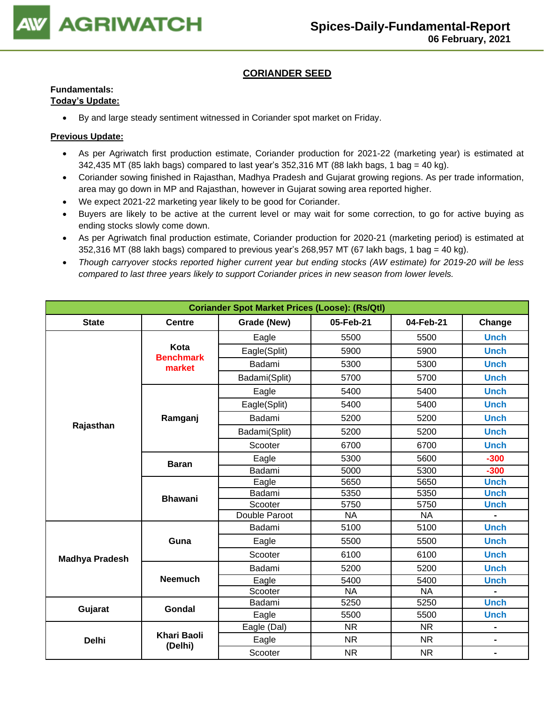

## **CORIANDER SEED**

## **Fundamentals:**

## **Today's Update:**

• By and large steady sentiment witnessed in Coriander spot market on Friday.

- As per Agriwatch first production estimate, Coriander production for 2021-22 (marketing year) is estimated at 342,435 MT (85 lakh bags) compared to last year's 352,316 MT (88 lakh bags, 1 bag = 40 kg).
- Coriander sowing finished in Rajasthan, Madhya Pradesh and Gujarat growing regions. As per trade information, area may go down in MP and Rajasthan, however in Gujarat sowing area reported higher.
- We expect 2021-22 marketing year likely to be good for Coriander.
- Buyers are likely to be active at the current level or may wait for some correction, to go for active buying as ending stocks slowly come down.
- As per Agriwatch final production estimate, Coriander production for 2020-21 (marketing period) is estimated at  $352,316$  MT (88 lakh bags) compared to previous year's 268,957 MT (67 lakh bags, 1 bag = 40 kg).
- *Though carryover stocks reported higher current year but ending stocks (AW estimate) for 2019-20 will be less compared to last three years likely to support Coriander prices in new season from lower levels.*

| <b>Coriander Spot Market Prices (Loose): (Rs/Qtl)</b> |                               |               |           |           |                |  |  |
|-------------------------------------------------------|-------------------------------|---------------|-----------|-----------|----------------|--|--|
| <b>State</b>                                          | <b>Centre</b>                 | Grade (New)   | 05-Feb-21 | 04-Feb-21 | Change         |  |  |
|                                                       |                               | Eagle         | 5500      | 5500      | <b>Unch</b>    |  |  |
|                                                       | Kota                          | Eagle(Split)  | 5900      | 5900      | <b>Unch</b>    |  |  |
|                                                       | <b>Benchmark</b><br>market    | Badami        | 5300      | 5300      | <b>Unch</b>    |  |  |
|                                                       |                               | Badami(Split) | 5700      | 5700      | <b>Unch</b>    |  |  |
|                                                       |                               | Eagle         | 5400      | 5400      | <b>Unch</b>    |  |  |
|                                                       |                               | Eagle(Split)  | 5400      | 5400      | <b>Unch</b>    |  |  |
|                                                       | Ramganj                       | Badami        | 5200      | 5200      | <b>Unch</b>    |  |  |
| Rajasthan                                             |                               | Badami(Split) | 5200      | 5200      | <b>Unch</b>    |  |  |
|                                                       |                               | Scooter       | 6700      | 6700      | <b>Unch</b>    |  |  |
|                                                       |                               | Eagle         | 5300      | 5600      | $-300$         |  |  |
|                                                       | <b>Baran</b>                  | Badami        | 5000      | 5300      | $-300$         |  |  |
|                                                       | <b>Bhawani</b>                | Eagle         | 5650      | 5650      | <b>Unch</b>    |  |  |
|                                                       |                               | Badami        | 5350      | 5350      | <b>Unch</b>    |  |  |
|                                                       |                               | Scooter       | 5750      | 5750      | <b>Unch</b>    |  |  |
|                                                       |                               | Double Paroot | <b>NA</b> | <b>NA</b> |                |  |  |
|                                                       |                               | Badami        | 5100      | 5100      | <b>Unch</b>    |  |  |
|                                                       | Guna                          | Eagle         | 5500      | 5500      | <b>Unch</b>    |  |  |
| <b>Madhya Pradesh</b>                                 |                               | Scooter       | 6100      | 6100      | <b>Unch</b>    |  |  |
|                                                       |                               | Badami        | 5200      | 5200      | <b>Unch</b>    |  |  |
|                                                       | <b>Neemuch</b>                | Eagle         | 5400      | 5400      | <b>Unch</b>    |  |  |
|                                                       |                               | Scooter       | <b>NA</b> | <b>NA</b> |                |  |  |
|                                                       |                               | Badami        | 5250      | 5250      | <b>Unch</b>    |  |  |
| Gujarat                                               | Gondal                        | Eagle         | 5500      | 5500      | <b>Unch</b>    |  |  |
|                                                       |                               | Eagle (Dal)   | <b>NR</b> | <b>NR</b> | $\blacksquare$ |  |  |
| <b>Delhi</b>                                          | <b>Khari Baoli</b><br>(Delhi) | Eagle         | <b>NR</b> | <b>NR</b> | $\blacksquare$ |  |  |
|                                                       |                               | Scooter       | <b>NR</b> | <b>NR</b> | $\blacksquare$ |  |  |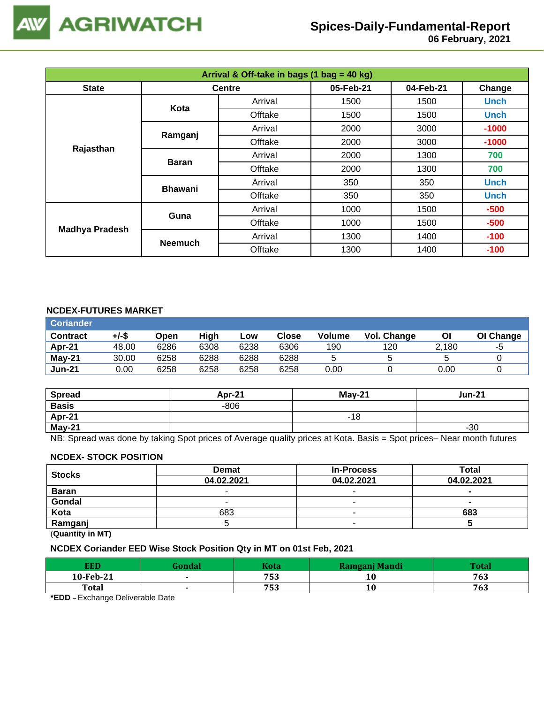

# **Spices-Daily-Fundamental-Report**

 **06 February, 2021**

| Arrival & Off-take in bags (1 bag = 40 kg) |                |               |           |           |             |  |  |
|--------------------------------------------|----------------|---------------|-----------|-----------|-------------|--|--|
| <b>State</b>                               |                | <b>Centre</b> | 05-Feb-21 | 04-Feb-21 | Change      |  |  |
|                                            | Kota           | Arrival       | 1500      | 1500      | <b>Unch</b> |  |  |
|                                            |                | Offtake       | 1500      | 1500      | <b>Unch</b> |  |  |
|                                            | Ramganj        | Arrival       | 2000      | 3000      | $-1000$     |  |  |
| Rajasthan                                  |                | Offtake       | 2000      | 3000      | $-1000$     |  |  |
|                                            | <b>Baran</b>   | Arrival       | 2000      | 1300      | 700         |  |  |
|                                            |                | Offtake       | 2000      | 1300      | 700         |  |  |
|                                            | <b>Bhawani</b> | Arrival       | 350       | 350       | <b>Unch</b> |  |  |
|                                            |                | Offtake       | 350       | 350       | <b>Unch</b> |  |  |
|                                            | Guna           | Arrival       | 1000      | 1500      | $-500$      |  |  |
|                                            |                | Offtake       | 1000      | 1500      | $-500$      |  |  |
| <b>Madhya Pradesh</b>                      | <b>Neemuch</b> | Arrival       | 1300      | 1400      | $-100$      |  |  |
|                                            |                | Offtake       | 1300      | 1400      | $-100$      |  |  |

### **NCDEX-FUTURES MARKET**

| <b>Coriander</b> |       |      |      |      |              |        |             |       |           |
|------------------|-------|------|------|------|--------------|--------|-------------|-------|-----------|
| <b>Contract</b>  | +/-\$ | Open | High | Low  | <b>Close</b> | Volume | Vol. Change | ΟI    | OI Change |
| Apr-21           | 48.00 | 6286 | 6308 | 6238 | 6306         | 190    | 120         | 2,180 | -5        |
| $May-21$         | 30.00 | 6258 | 6288 | 6288 | 6288         |        |             |       |           |
| <b>Jun-21</b>    | 0.00  | 6258 | 6258 | 6258 | 6258         | 0.00   |             | 0.00  |           |

| <b>Spread</b> | <b>Apr-21</b> | $Mav-21$ | <b>Jun-21</b> |
|---------------|---------------|----------|---------------|
| <b>Basis</b>  | $-806$        |          |               |
| Apr-21        |               | -18      |               |
| May-21        |               |          | $-30$         |

NB: Spread was done by taking Spot prices of Average quality prices at Kota. Basis = Spot prices– Near month futures

#### **NCDEX- STOCK POSITION**

| <b>Stocks</b>                                                      | <b>Demat</b> | <b>In-Process</b> | Total      |
|--------------------------------------------------------------------|--------------|-------------------|------------|
|                                                                    | 04.02.2021   | 04.02.2021        | 04.02.2021 |
| <b>Baran</b>                                                       |              | -                 | -          |
| Gondal                                                             |              |                   |            |
| Kota                                                               | 683          |                   | 683        |
| Ramganj                                                            |              |                   |            |
| $\mathbf{r} = \mathbf{r}$ , $\mathbf{r} = \mathbf{r} = \mathbf{r}$ |              |                   |            |

(**Quantity in MT)**

## **NCDEX Coriander EED Wise Stock Position Qty in MT on 01st Feb, 2021**

| <b>EED</b>   | <b>Kota</b> | Ramganj Mandi | $T_{\alpha}$ ta |
|--------------|-------------|---------------|-----------------|
| 10-Feb-21    | 753         | 10            | 763             |
| <b>Total</b> | 753         | 10            | 763             |